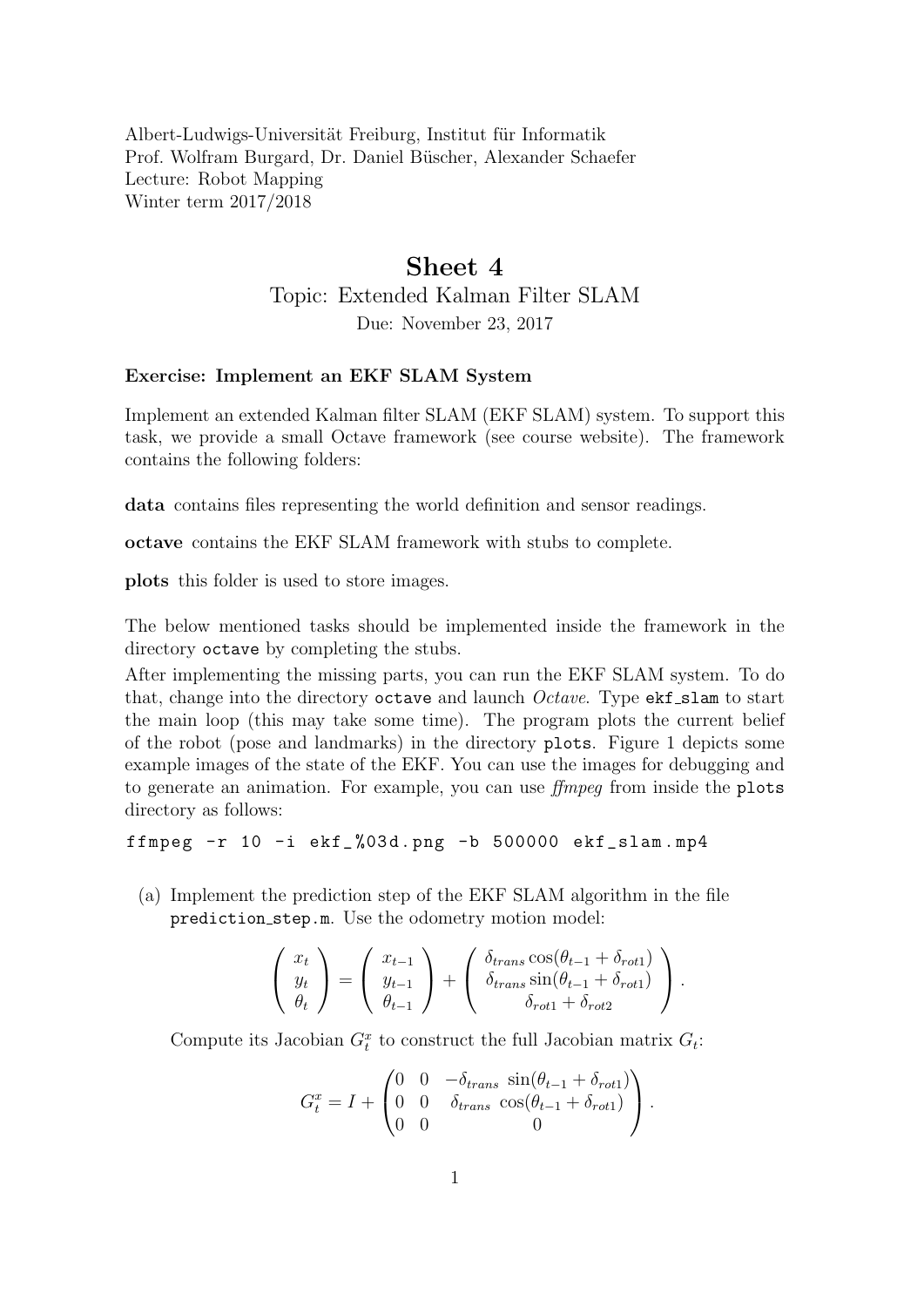Albert-Ludwigs-Universität Freiburg, Institut für Informatik Prof. Wolfram Burgard, Dr. Daniel Büscher, Alexander Schaefer Lecture: Robot Mapping Winter term 2017/2018

## Sheet 4 Topic: Extended Kalman Filter SLAM

Due: November 23, 2017

## Exercise: Implement an EKF SLAM System

Implement an extended Kalman filter SLAM (EKF SLAM) system. To support this task, we provide a small Octave framework (see course website). The framework contains the following folders:

data contains files representing the world definition and sensor readings.

octave contains the EKF SLAM framework with stubs to complete.

plots this folder is used to store images.

The below mentioned tasks should be implemented inside the framework in the directory octave by completing the stubs.

After implementing the missing parts, you can run the EKF SLAM system. To do that, change into the directory octave and launch  $Octave$ . Type  $ext{est\_slam}$  to start the main loop (this may take some time). The program plots the current belief of the robot (pose and landmarks) in the directory plots. Figure [1](#page-1-0) depicts some example images of the state of the EKF. You can use the images for debugging and to generate an animation. For example, you can use ffmpeg from inside the plots directory as follows:

ffmpeg  $-r$  10  $-i$  ekf $\frac{0.3d}{m}$ . png  $-b$  500000 ekf $\frac{1}{2}$ slam.mp4

(a) Implement the prediction step of the EKF SLAM algorithm in the file prediction step.m. Use the odometry motion model:

$$
\begin{pmatrix} x_t \\ y_t \\ \theta_t \end{pmatrix} = \begin{pmatrix} x_{t-1} \\ y_{t-1} \\ \theta_{t-1} \end{pmatrix} + \begin{pmatrix} \delta_{trans} \cos(\theta_{t-1} + \delta_{rot1}) \\ \delta_{trans} \sin(\theta_{t-1} + \delta_{rot1}) \\ \delta_{rot1} + \delta_{rot2} \end{pmatrix}.
$$

Compute its Jacobian  $G_t^x$  to construct the full Jacobian matrix  $G_t$ :

$$
G_t^x = I + \begin{pmatrix} 0 & 0 & -\delta_{trans} \sin(\theta_{t-1} + \delta_{rot1}) \\ 0 & 0 & \delta_{trans} \cos(\theta_{t-1} + \delta_{rot1}) \\ 0 & 0 & 0 \end{pmatrix}.
$$